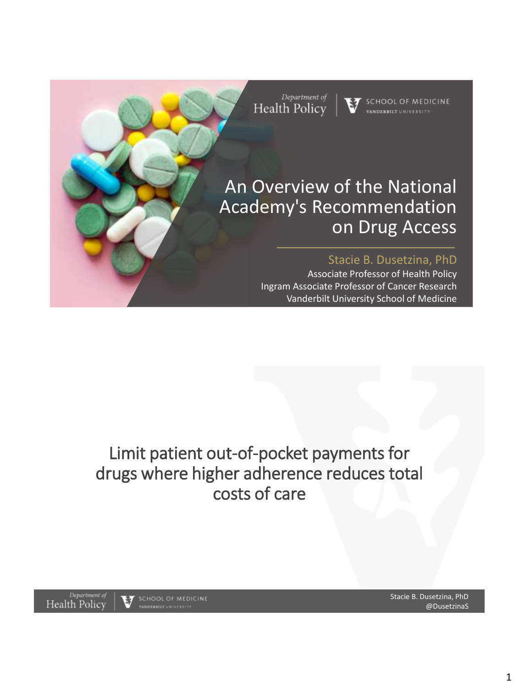

# Limit patient out-of-pocket payments for drugs where higher adherence reduces total costs of care

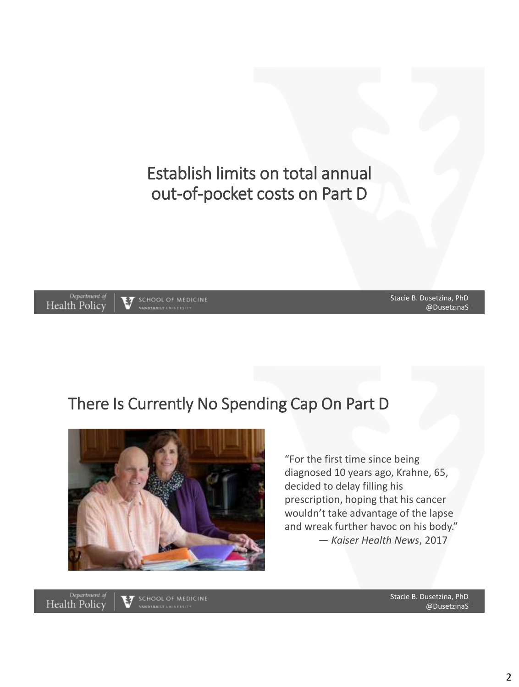Establish limits on total annual out-of-pocket costs on Part D



3 @DusetzinaS Stacie B. Dusetzina, PhD

### There Is Currently No Spending Cap On Part D



"For the first time since being diagnosed 10 years ago, Krahne, 65, decided to delay filling his prescription, hoping that his cancer wouldn't take advantage of the lapse and wreak further havoc on his body." — *Kaiser Health News*, 2017

Department of<br>Health Policy

 $57$  school of medicine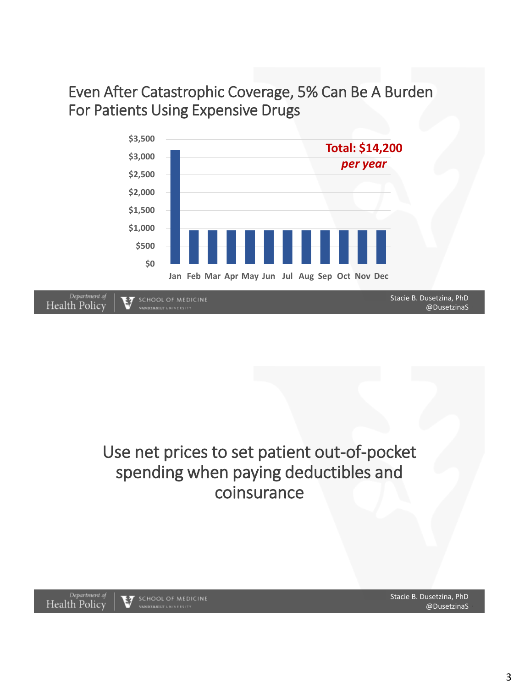Even After Catastrophic Coverage, 5% Can Be A Burden For Patients Using Expensive Drugs



## Use net prices to set patient out-of-pocket spending when paying deductibles and coinsurance

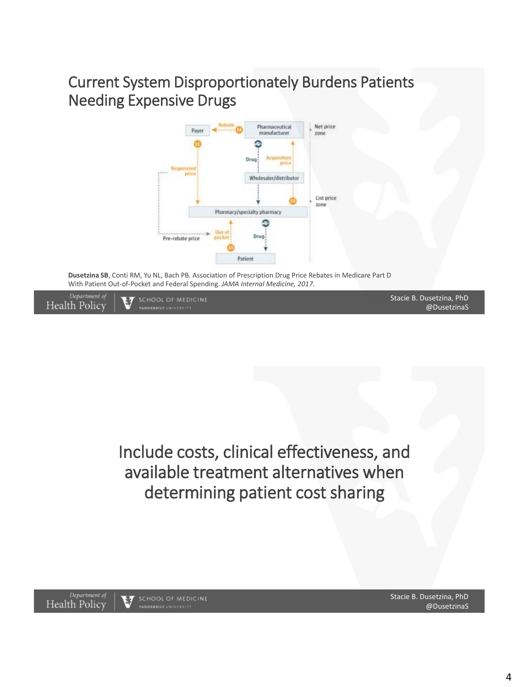### Current System Disproportionately Burdens Patients Needing Expensive Drugs



**Dusetzina SB**, Conti RM, Yu NL, Bach PB. Association of Prescription Drug Price Rebates in Medicare Part D With Patient Out-of-Pocket and Federal Spending. *JAMA Internal Medicine, 2017*.

SCHOOL OF MEDICINE



Stacie B. Dusetzina, PhD @DusetzinaS

Include costs, clinical effectiveness, and available treatment alternatives when determining patient cost sharing



Stacie B. Dusetzina, PhD @DusetzinaS